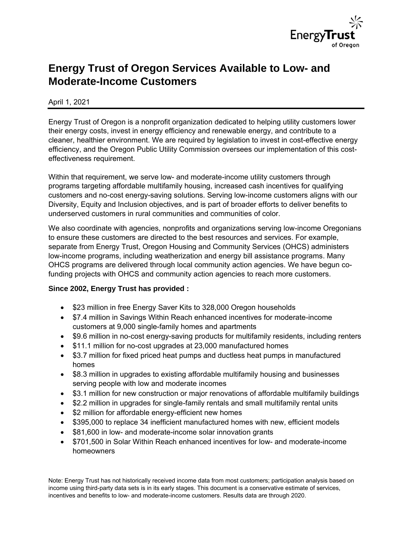

# **Energy Trust of Oregon Services Available to Low- and Moderate-Income Customers**

## April 1, 2021

Energy Trust of Oregon is a nonprofit organization dedicated to helping utility customers lower their energy costs, invest in energy efficiency and renewable energy, and contribute to a cleaner, healthier environment. We are required by legislation to invest in cost-effective energy efficiency, and the Oregon Public Utility Commission oversees our implementation of this costeffectiveness requirement.

Within that requirement, we serve low- and moderate-income utility customers through programs targeting affordable multifamily housing, increased cash incentives for qualifying customers and no-cost energy-saving solutions. Serving low-income customers aligns with our Diversity, Equity and Inclusion objectives, and is part of broader efforts to deliver benefits to underserved customers in rural communities and communities of color.

We also coordinate with agencies, nonprofits and organizations serving low-income Oregonians to ensure these customers are directed to the best resources and services. For example, separate from Energy Trust, Oregon Housing and Community Services (OHCS) administers low-income programs, including weatherization and energy bill assistance programs. Many OHCS programs are delivered through local community action agencies. We have begun cofunding projects with OHCS and community action agencies to reach more customers.

#### **Since 2002, Energy Trust has provided :**

- \$23 million in free Energy Saver Kits to 328,000 Oregon households
- \$7.4 million in Savings Within Reach enhanced incentives for moderate-income customers at 9,000 single-family homes and apartments
- \$9.6 million in no-cost energy-saving products for multifamily residents, including renters
- \$11.1 million for no-cost upgrades at 23,000 manufactured homes
- \$3.7 million for fixed priced heat pumps and ductless heat pumps in manufactured homes
- \$8.3 million in upgrades to existing affordable multifamily housing and businesses serving people with low and moderate incomes
- \$3.1 million for new construction or major renovations of affordable multifamily buildings
- \$2.2 million in upgrades for single-family rentals and small multifamily rental units
- \$2 million for affordable energy-efficient new homes
- \$395,000 to replace 34 inefficient manufactured homes with new, efficient models
- \$81,600 in low- and moderate-income solar innovation grants
- \$701,500 in Solar Within Reach enhanced incentives for low- and moderate-income homeowners

Note: Energy Trust has not historically received income data from most customers; participation analysis based on income using third-party data sets is in its early stages. This document is a conservative estimate of services, incentives and benefits to low- and moderate-income customers. Results data are through 2020.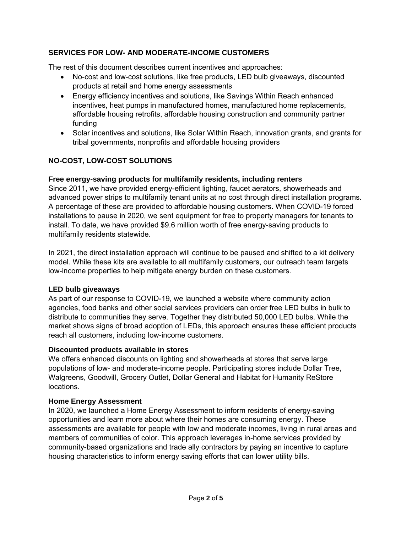## **SERVICES FOR LOW- AND MODERATE-INCOME CUSTOMERS**

The rest of this document describes current incentives and approaches:

- No-cost and low-cost solutions, like free products, LED bulb giveaways, discounted products at retail and home energy assessments
- Energy efficiency incentives and solutions, like Savings Within Reach enhanced incentives, heat pumps in manufactured homes, manufactured home replacements, affordable housing retrofits, affordable housing construction and community partner funding
- Solar incentives and solutions, like Solar Within Reach, innovation grants, and grants for tribal governments, nonprofits and affordable housing providers

## **NO-COST, LOW-COST SOLUTIONS**

## **Free energy-saving products for multifamily residents, including renters**

Since 2011, we have provided energy-efficient lighting, faucet aerators, showerheads and advanced power strips to multifamily tenant units at no cost through direct installation programs. A percentage of these are provided to affordable housing customers. When COVID-19 forced installations to pause in 2020, we sent equipment for free to property managers for tenants to install. To date, we have provided \$9.6 million worth of free energy-saving products to multifamily residents statewide.

In 2021, the direct installation approach will continue to be paused and shifted to a kit delivery model. While these kits are available to all multifamily customers, our outreach team targets low-income properties to help mitigate energy burden on these customers.

## **LED bulb giveaways**

As part of our response to COVID-19, we launched a website where community action agencies, food banks and other social services providers can order free LED bulbs in bulk to distribute to communities they serve. Together they distributed 50,000 LED bulbs. While the market shows signs of broad adoption of LEDs, this approach ensures these efficient products reach all customers, including low-income customers.

## **Discounted products available in stores**

We offers enhanced discounts on lighting and showerheads at stores that serve large populations of low- and moderate-income people. Participating stores include Dollar Tree, Walgreens, Goodwill, Grocery Outlet, Dollar General and Habitat for Humanity ReStore locations.

#### **Home Energy Assessment**

In 2020, we launched a Home Energy Assessment to inform residents of energy-saving opportunities and learn more about where their homes are consuming energy. These assessments are available for people with low and moderate incomes, living in rural areas and members of communities of color. This approach leverages in-home services provided by community-based organizations and trade ally contractors by paying an incentive to capture housing characteristics to inform energy saving efforts that can lower utility bills.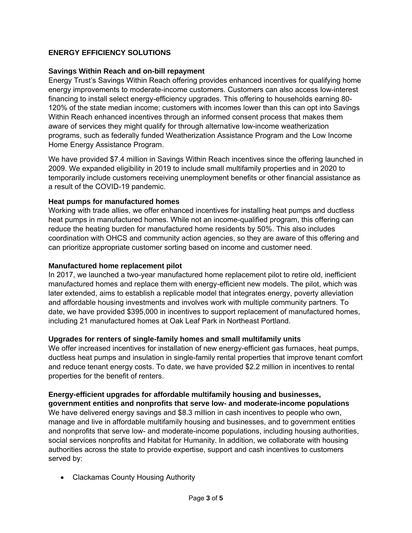## **ENERGY EFFICIENCY SOLUTIONS**

## **Savings Within Reach and on-bill repayment**

Energy Trust's Savings Within Reach offering provides enhanced incentives for qualifying home energy improvements to moderate-income customers. Customers can also access low-interest financing to install select energy-efficiency upgrades. This offering to households earning 80- 120% of the state median income; customers with incomes lower than this can opt into Savings Within Reach enhanced incentives through an informed consent process that makes them aware of services they might qualify for through alternative low-income weatherization programs, such as federally funded Weatherization Assistance Program and the Low Income Home Energy Assistance Program.

We have provided \$7.4 million in Savings Within Reach incentives since the offering launched in 2009. We expanded eligibility in 2019 to include small multifamily properties and in 2020 to temporarily include customers receiving unemployment benefits or other financial assistance as a result of the COVID-19 pandemic.

#### **Heat pumps for manufactured homes**

Working with trade allies, we offer enhanced incentives for installing heat pumps and ductless heat pumps in manufactured homes. While not an income-qualified program, this offering can reduce the heating burden for manufactured home residents by 50%. This also includes coordination with OHCS and community action agencies, so they are aware of this offering and can prioritize appropriate customer sorting based on income and customer need.

#### **Manufactured home replacement pilot**

In 2017, we launched a two-year manufactured home replacement pilot to retire old, inefficient manufactured homes and replace them with energy-efficient new models. The pilot, which was later extended, aims to establish a replicable model that integrates energy, poverty alleviation and affordable housing investments and involves work with multiple community partners. To date, we have provided \$395,000 in incentives to support replacement of manufactured homes, including 21 manufactured homes at Oak Leaf Park in Northeast Portland.

## **Upgrades for renters of single-family homes and small multifamily units**

We offer increased incentives for installation of new energy-efficient gas furnaces, heat pumps, ductless heat pumps and insulation in single-family rental properties that improve tenant comfort and reduce tenant energy costs. To date, we have provided \$2.2 million in incentives to rental properties for the benefit of renters.

## **Energy-efficient upgrades for affordable multifamily housing and businesses,**

**government entities and nonprofits that serve low- and moderate-income populations** We have delivered energy savings and \$8.3 million in cash incentives to people who own, manage and live in affordable multifamily housing and businesses, and to government entities and nonprofits that serve low- and moderate-income populations, including housing authorities, social services nonprofits and Habitat for Humanity. In addition, we collaborate with housing authorities across the state to provide expertise, support and cash incentives to customers served by:

Clackamas County Housing Authority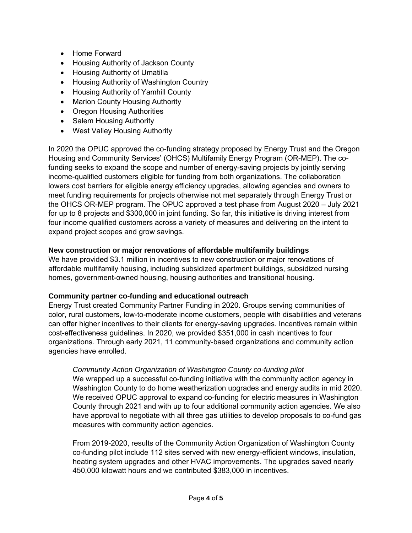- Home Forward
- Housing Authority of Jackson County
- Housing Authority of Umatilla
- Housing Authority of Washington Country
- Housing Authority of Yamhill County
- Marion County Housing Authority
- Oregon Housing Authorities
- Salem Housing Authority
- West Valley Housing Authority

In 2020 the OPUC approved the co-funding strategy proposed by Energy Trust and the Oregon Housing and Community Services' (OHCS) Multifamily Energy Program (OR-MEP). The cofunding seeks to expand the scope and number of energy-saving projects by jointly serving income-qualified customers eligible for funding from both organizations. The collaboration lowers cost barriers for eligible energy efficiency upgrades, allowing agencies and owners to meet funding requirements for projects otherwise not met separately through Energy Trust or the OHCS OR-MEP program. The OPUC approved a test phase from August 2020 – July 2021 for up to 8 projects and \$300,000 in joint funding. So far, this initiative is driving interest from four income qualified customers across a variety of measures and delivering on the intent to expand project scopes and grow savings.

#### **New construction or major renovations of affordable multifamily buildings**

We have provided \$3.1 million in incentives to new construction or major renovations of affordable multifamily housing, including subsidized apartment buildings, subsidized nursing homes, government-owned housing, housing authorities and transitional housing.

#### **Community partner co-funding and educational outreach**

Energy Trust created Community Partner Funding in 2020. Groups serving communities of color, rural customers, low-to-moderate income customers, people with disabilities and veterans can offer higher incentives to their clients for energy-saving upgrades. Incentives remain within cost-effectiveness guidelines. In 2020, we provided \$351,000 in cash incentives to four organizations. Through early 2021, 11 community-based organizations and community action agencies have enrolled.

## *Community Action Organization of Washington County co-funding pilot*

We wrapped up a successful co-funding initiative with the community action agency in Washington County to do home weatherization upgrades and energy audits in mid 2020. We received OPUC approval to expand co-funding for electric measures in Washington County through 2021 and with up to four additional community action agencies. We also have approval to negotiate with all three gas utilities to develop proposals to co-fund gas measures with community action agencies.

From 2019-2020, results of the Community Action Organization of Washington County co-funding pilot include 112 sites served with new energy-efficient windows, insulation, heating system upgrades and other HVAC improvements. The upgrades saved nearly 450,000 kilowatt hours and we contributed \$383,000 in incentives.